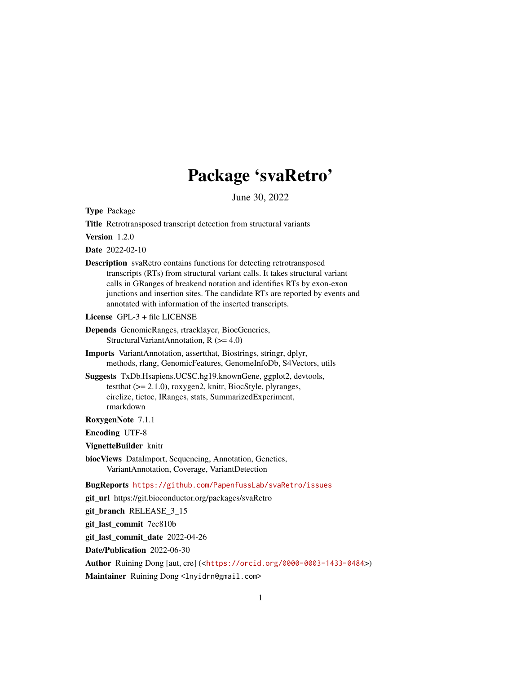## Package 'svaRetro'

June 30, 2022

Type Package

Title Retrotransposed transcript detection from structural variants

Version 1.2.0

Date 2022-02-10

Description svaRetro contains functions for detecting retrotransposed transcripts (RTs) from structural variant calls. It takes structural variant calls in GRanges of breakend notation and identifies RTs by exon-exon junctions and insertion sites. The candidate RTs are reported by events and annotated with information of the inserted transcripts.

License GPL-3 + file LICENSE

Depends GenomicRanges, rtracklayer, BiocGenerics, StructuralVariantAnnotation, R (>= 4.0)

Imports VariantAnnotation, assertthat, Biostrings, stringr, dplyr, methods, rlang, GenomicFeatures, GenomeInfoDb, S4Vectors, utils

Suggests TxDb.Hsapiens.UCSC.hg19.knownGene, ggplot2, devtools, testthat (>= 2.1.0), roxygen2, knitr, BiocStyle, plyranges, circlize, tictoc, IRanges, stats, SummarizedExperiment, rmarkdown

RoxygenNote 7.1.1

Encoding UTF-8

VignetteBuilder knitr

biocViews DataImport, Sequencing, Annotation, Genetics, VariantAnnotation, Coverage, VariantDetection

BugReports <https://github.com/PapenfussLab/svaRetro/issues>

git\_url https://git.bioconductor.org/packages/svaRetro

git branch RELEASE 3 15

git\_last\_commit 7ec810b

git\_last\_commit\_date 2022-04-26

Date/Publication 2022-06-30

Author Ruining Dong [aut, cre] (<<https://orcid.org/0000-0003-1433-0484>>)

Maintainer Ruining Dong <lnyidrn@gmail.com>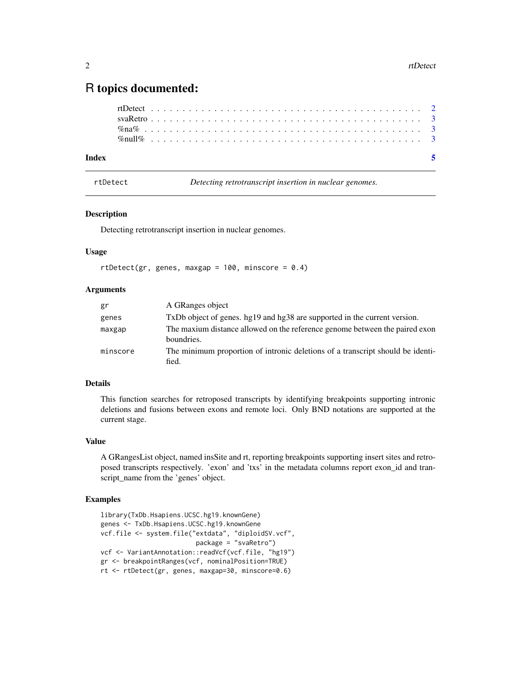### <span id="page-1-0"></span>R topics documented:

| Index |  |  |  |  |  |  |  |  |  |  |  |  |  |  |  |  |  |  |  |  |  |  |  |
|-------|--|--|--|--|--|--|--|--|--|--|--|--|--|--|--|--|--|--|--|--|--|--|--|
|       |  |  |  |  |  |  |  |  |  |  |  |  |  |  |  |  |  |  |  |  |  |  |  |
|       |  |  |  |  |  |  |  |  |  |  |  |  |  |  |  |  |  |  |  |  |  |  |  |
|       |  |  |  |  |  |  |  |  |  |  |  |  |  |  |  |  |  |  |  |  |  |  |  |
|       |  |  |  |  |  |  |  |  |  |  |  |  |  |  |  |  |  |  |  |  |  |  |  |

rtDetect *Detecting retrotranscript insertion in nuclear genomes.*

#### Description

Detecting retrotranscript insertion in nuclear genomes.

#### Usage

```
rtDetect(gr, genes, maxgap = 100, minscore = 0.4)
```
#### Arguments

| gr       | A GRanges object                                                                          |
|----------|-------------------------------------------------------------------------------------------|
| genes    | TxDb object of genes. hg19 and hg38 are supported in the current version.                 |
| maxgap   | The maxium distance allowed on the reference genome between the paired exon<br>boundries. |
| minscore | The minimum proportion of intronic deletions of a transcript should be identi-<br>fied.   |

#### Details

This function searches for retroposed transcripts by identifying breakpoints supporting intronic deletions and fusions between exons and remote loci. Only BND notations are supported at the current stage.

#### Value

A GRangesList object, named insSite and rt, reporting breakpoints supporting insert sites and retroposed transcripts respectively. 'exon' and 'txs' in the metadata columns report exon\_id and transcript\_name from the 'genes' object.

#### Examples

```
library(TxDb.Hsapiens.UCSC.hg19.knownGene)
genes <- TxDb.Hsapiens.UCSC.hg19.knownGene
vcf.file <- system.file("extdata", "diploidSV.vcf",
                         package = "svaRetro")
vcf <- VariantAnnotation::readVcf(vcf.file, "hg19")
gr <- breakpointRanges(vcf, nominalPosition=TRUE)
rt <- rtDetect(gr, genes, maxgap=30, minscore=0.6)
```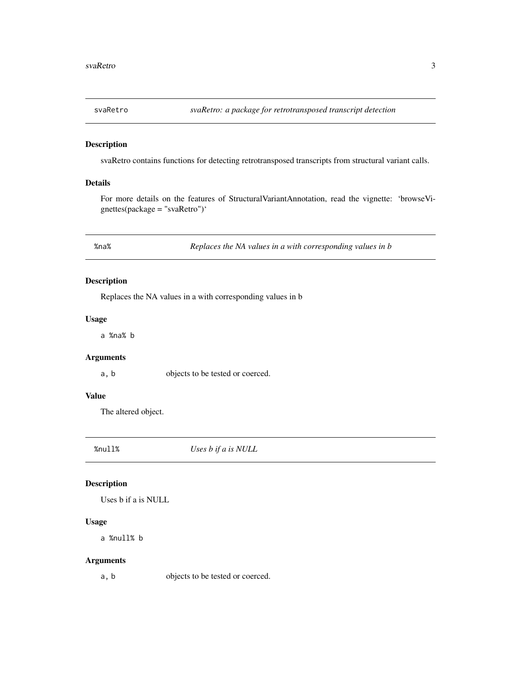<span id="page-2-0"></span>

#### Description

svaRetro contains functions for detecting retrotransposed transcripts from structural variant calls.

#### Details

For more details on the features of StructuralVariantAnnotation, read the vignette: 'browseVignettes(package = "svaRetro")'

%na% *Replaces the NA values in a with corresponding values in b*

#### Description

Replaces the NA values in a with corresponding values in b

#### Usage

a %na% b

#### Arguments

a, b objects to be tested or coerced.

#### Value

The altered object.

%null% *Uses b if a is NULL*

#### Description

Uses b if a is NULL

#### Usage

a %null% b

#### Arguments

a, b objects to be tested or coerced.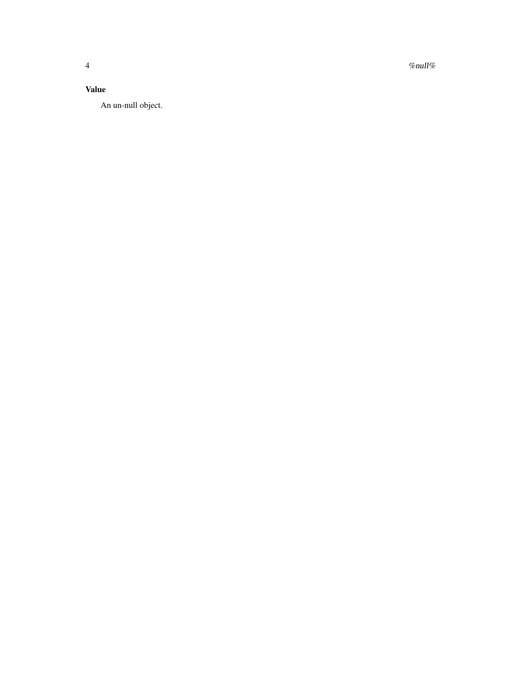$4$  %null% and  $\ell$  %null% and  $\ell$  %null% and  $\ell$  %null% and  $\ell$  %null% and  $\ell$  %null% and  $\ell$  % and  $\ell$  % and  $\ell$  % and  $\ell$  % and  $\ell$  % and  $\ell$  % and  $\ell$  % and  $\ell$  % and  $\ell$  % and  $\ell$  % and  $\ell$  % and  $\ell$ 

#### Value

An un-null object.